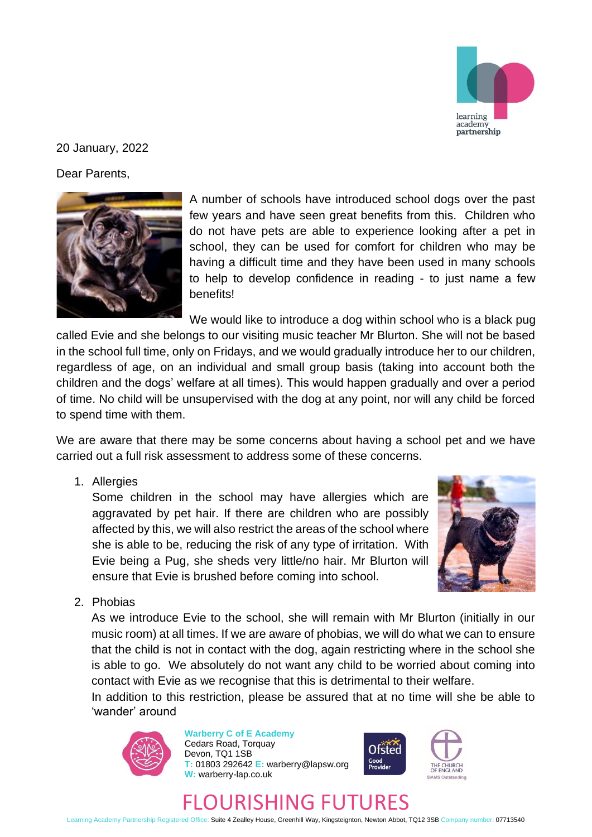

## 20 January, 2022

Dear Parents,



A number of schools have introduced school dogs over the past few years and have seen great benefits from this. Children who do not have pets are able to experience looking after a pet in school, they can be used for comfort for children who may be having a difficult time and they have been used in many schools to help to develop confidence in reading - to just name a few benefits!

We would like to introduce a dog within school who is a black pug

called Evie and she belongs to our visiting music teacher Mr Blurton. She will not be based in the school full time, only on Fridays, and we would gradually introduce her to our children, regardless of age, on an individual and small group basis (taking into account both the children and the dogs' welfare at all times). This would happen gradually and over a period of time. No child will be unsupervised with the dog at any point, nor will any child be forced to spend time with them.

We are aware that there may be some concerns about having a school pet and we have carried out a full risk assessment to address some of these concerns.

1. Allergies

Some children in the school may have allergies which are aggravated by pet hair. If there are children who are possibly affected by this, we will also restrict the areas of the school where she is able to be, reducing the risk of any type of irritation. With Evie being a Pug, she sheds very little/no hair. Mr Blurton will ensure that Evie is brushed before coming into school.



2. Phobias

As we introduce Evie to the school, she will remain with Mr Blurton (initially in our music room) at all times. If we are aware of phobias, we will do what we can to ensure that the child is not in contact with the dog, again restricting where in the school she is able to go. We absolutely do not want any child to be worried about coming into contact with Evie as we recognise that this is detrimental to their welfare.

In addition to this restriction, please be assured that at no time will she be able to 'wander' around



**Warberry C of E Academy** Cedars Road, Torquay Devon, TQ1 1SB **T:** 01803 292642 **E:** warberry@lapsw.org **W:** warberry-lap.co.uk





## FLOURISHING FUTURES

Learning Academy Partnership Registered Office: Suite 4 Zealley House, Greenhill Way, Kingsteignton, Newton Abbot, TQ12 3SB Company number: 07713540